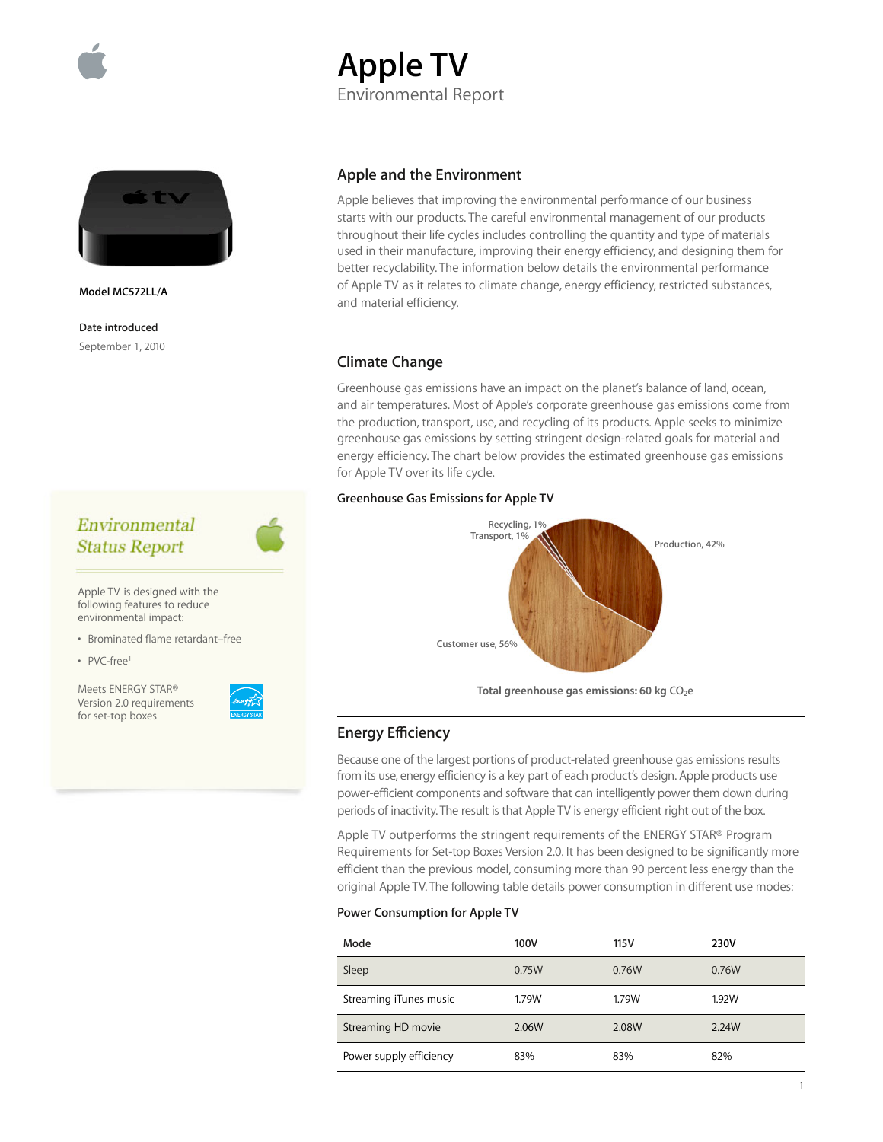

# **Apple TV** Environmental Report



**Model MC572LL/A**

**Date introduced** September 1, 2010

## Environmental **Status Report**

Apple TV is designed with the following features to reduce environmental impact:

• Brominated flame retardant–free

• PVC-free1

Meets ENERGY STAR® Version 2.0 requirements for set-top boxes

## **Apple and the Environment**

Apple believes that improving the environmental performance of our business starts with our products. The careful environmental management of our products throughout their life cycles includes controlling the quantity and type of materials used in their manufacture, improving their energy efficiency, and designing them for better recyclability. The information below details the environmental performance of Apple TV as it relates to climate change, energy efficiency, restricted substances, and material efficiency.

## **Climate Change**

Greenhouse gas emissions have an impact on the planet's balance of land, ocean, and air temperatures. Most of Apple's corporate greenhouse gas emissions come from the production, transport, use, and recycling of its products. Apple seeks to minimize greenhouse gas emissions by setting stringent design-related goals for material and energy efficiency. The chart below provides the estimated greenhouse gas emissions for Apple TV over its life cycle.

#### **Greenhouse Gas Emissions for Apple TV**



## **Energy Efficiency**

Because one of the largest portions of product-related greenhouse gas emissions results from its use, energy efficiency is a key part of each product's design. Apple products use power-efficient components and software that can intelligently power them down during periods of inactivity. The result is that Apple TV is energy efficient right out of the box.

Apple TV outperforms the stringent requirements of the ENERGY STAR® Program Requirements for Set-top Boxes Version 2.0. It has been designed to be significantly more efficient than the previous model, consuming more than 90 percent less energy than the original Apple TV. The following table details power consumption in different use modes:

#### **Power Consumption for Apple TV**

| Mode                    | 100V  | 115V  | 230V  |
|-------------------------|-------|-------|-------|
| Sleep                   | 0.75W | 0.76W | 0.76W |
| Streaming iTunes music  | 1.79W | 1.79W | 1.92W |
| Streaming HD movie      | 2.06W | 2.08W | 2.24W |
| Power supply efficiency | 83%   | 83%   | 82%   |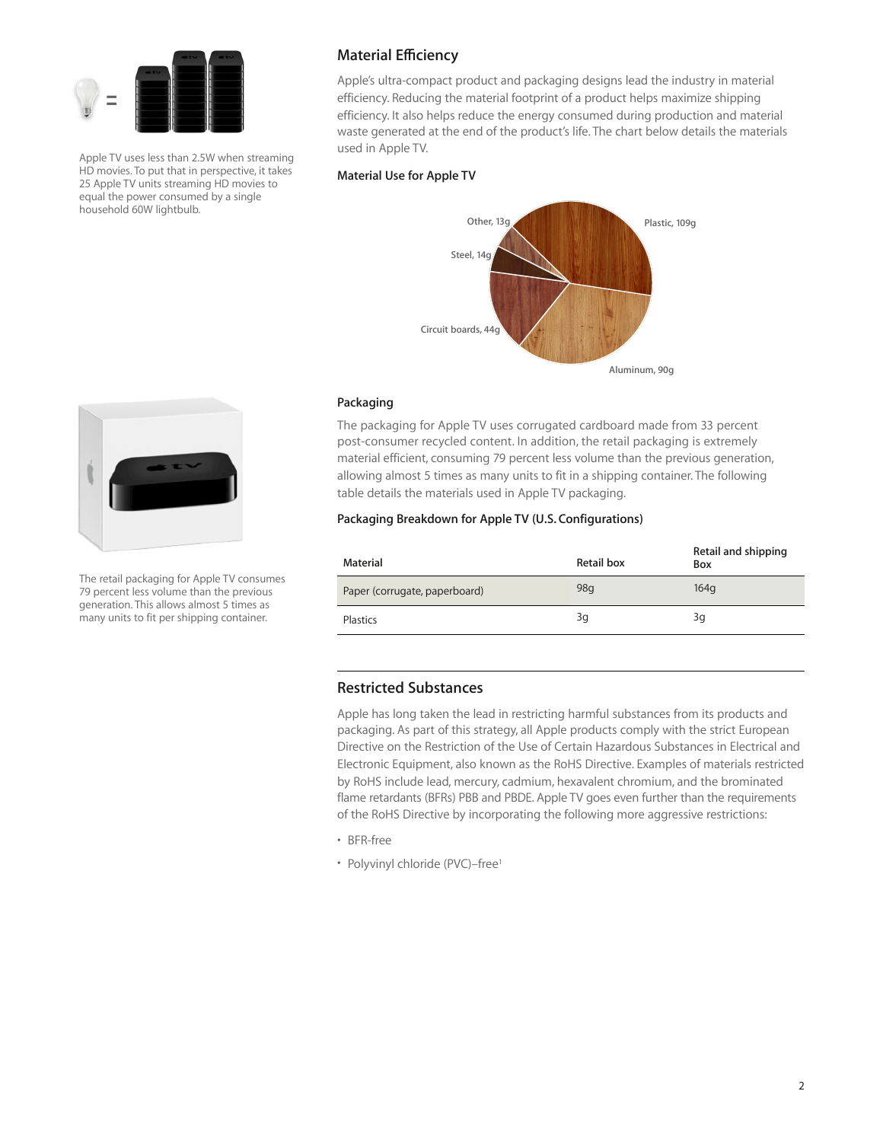

Apple TV uses less than 2.5W when streaming HD movies. To put that in perspective, it takes 25 Apple TV units streaming HD movies to equal the power consumed by a single household 60W lightbulb.

## **Material Efficiency**

Apple's ultra-compact product and packaging designs lead the industry in material efficiency. Reducing the material footprint of a product helps maximize shipping efficiency. It also helps reduce the energy consumed during production and material waste generated at the end of the product's life. The chart below details the materials used in Apple TV.

### **Material Use for Apple TV**



#### **Packaging**

The packaging for Apple TV uses corrugated cardboard made from 33 percent post-consumer recycled content. In addition, the retail packaging is extremely material efficient, consuming 79 percent less volume than the previous generation, allowing almost 5 times as many units to fit in a shipping container. The following table details the materials used in Apple TV packaging.

#### **Packaging Breakdown for Apple TV (U.S. Configurations)**

| Material                      | Retail box | Retail and shipping<br>Box |
|-------------------------------|------------|----------------------------|
| Paper (corrugate, paperboard) | 98q        | 164 <sub>q</sub>           |
| Plastics                      | 3q         | 3q                         |

## **Restricted Substances**

Apple has long taken the lead in restricting harmful substances from its products and packaging. As part of this strategy, all Apple products comply with the strict European Directive on the Restriction of the Use of Certain Hazardous Substances in Electrical and Electronic Equipment, also known as the RoHS Directive. Examples of materials restricted by RoHS include lead, mercury, cadmium, hexavalent chromium, and the brominated flame retardants (BFRs) PBB and PBDE. Apple TV goes even further than the requirements of the RoHS Directive by incorporating the following more aggressive restrictions:

- BFR-free
- Polyvinyl chloride (PVC)–free<sup>1</sup>



The retail packaging for Apple TV consumes 79 percent less volume than the previous generation. This allows almost 5 times as many units to fit per shipping container.